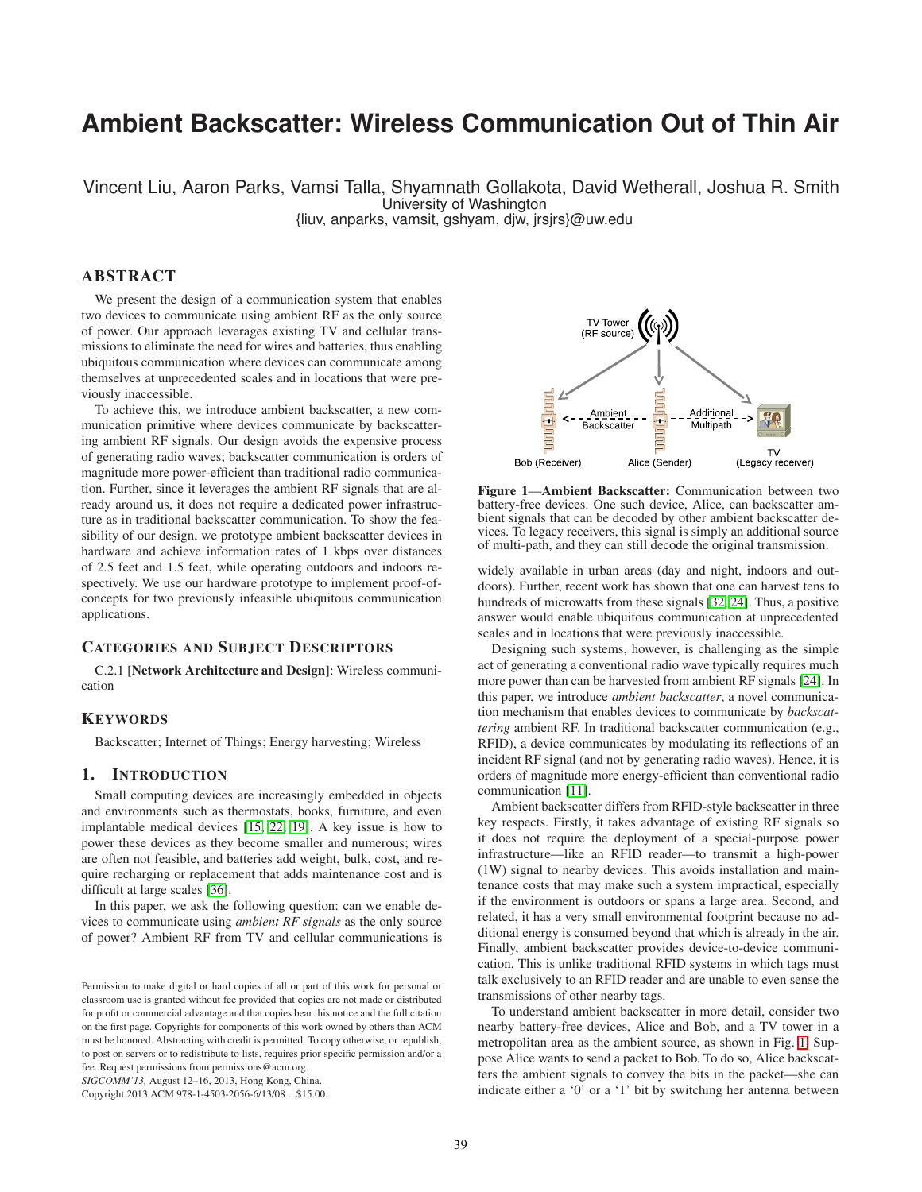# **Ambient Backscatter: Wireless Communication Out of Thin Air**

Vincent Liu, Aaron Parks, Vamsi Talla, Shyamnath Gollakota, David Wetherall, Joshua R. Smith University of Washington

{liuv, anparks, vamsit, gshyam, djw, jrsjrs}@uw.edu

# **ABSTRACT**

We present the design of a communication system that enables two devices to communicate using ambient RF as the only source of power. Our approach leverages existing TV and cellular transmissions to eliminate the need for wires and batteries, thus enabling ubiquitous communication where devices can communicate among themselves at unprecedented scales and in locations that were previously inaccessible.

To achieve this, we introduce ambient backscatter, a new communication primitive where devices communicate by backscattering ambient RF signals. Our design avoids the expensive process of generating radio waves; backscatter communication is orders of magnitude more power-efficient than traditional radio communication. Further, since it leverages the ambient RF signals that are already around us, it does not require a dedicated power infrastructure as in traditional backscatter communication. To show the feasibility of our design, we prototype ambient backscatter devices in hardware and achieve information rates of 1 kbps over distances of 2.5 feet and 1.5 feet, while operating outdoors and indoors respectively. We use our hardware prototype to implement proof-ofconcepts for two previously infeasible ubiquitous communication applications.

## **CATEGORIES AND SUBJECT DESCRIPTORS**

C.2.1 [**Network Architecture and Design**]: Wireless communication

# **KEYWORDS**

Backscatter; Internet of Things; Energy harvesting; Wireless

# **1. INTRODUCTION**

Small computing devices are increasingly embedded in objects and environments such as thermostats, books, furniture, and even implantable medical devices [\[15,](#page-11-0) [22,](#page-11-1) [19\]](#page-11-2). A key issue is how to power these devices as they become smaller and numerous; wires are often not feasible, and batteries add weight, bulk, cost, and require recharging or replacement that adds maintenance cost and is difficult at large scales [\[36\]](#page-11-3).

In this paper, we ask the following question: can we enable devices to communicate using *ambient RF signals* as the only source of power? Ambient RF from TV and cellular communications is

*SIGCOMM'13,* August 12–16, 2013, Hong Kong, China.

Copyright 2013 ACM 978-1-4503-2056-6/13/08 ...\$15.00.



<span id="page-0-0"></span>**Figure 1**—**Ambient Backscatter:** Communication between two battery-free devices. One such device, Alice, can backscatter ambient signals that can be decoded by other ambient backscatter devices. To legacy receivers, this signal is simply an additional source of multi-path, and they can still decode the original transmission.

widely available in urban areas (day and night, indoors and outdoors). Further, recent work has shown that one can harvest tens to hundreds of microwatts from these signals [\[32,](#page-11-4) [24\]](#page-11-5). Thus, a positive answer would enable ubiquitous communication at unprecedented scales and in locations that were previously inaccessible.

Designing such systems, however, is challenging as the simple act of generating a conventional radio wave typically requires much more power than can be harvested from ambient RF signals [\[24\]](#page-11-5). In this paper, we introduce *ambient backscatter*, a novel communication mechanism that enables devices to communicate by *backscattering* ambient RF. In traditional backscatter communication (e.g., RFID), a device communicates by modulating its reflections of an incident RF signal (and not by generating radio waves). Hence, it is orders of magnitude more energy-efficient than conventional radio communication [\[11\]](#page-11-6).

Ambient backscatter differs from RFID-style backscatter in three key respects. Firstly, it takes advantage of existing RF signals so it does not require the deployment of a special-purpose power infrastructure—like an RFID reader—to transmit a high-power (1W) signal to nearby devices. This avoids installation and maintenance costs that may make such a system impractical, especially if the environment is outdoors or spans a large area. Second, and related, it has a very small environmental footprint because no additional energy is consumed beyond that which is already in the air. Finally, ambient backscatter provides device-to-device communication. This is unlike traditional RFID systems in which tags must talk exclusively to an RFID reader and are unable to even sense the transmissions of other nearby tags.

To understand ambient backscatter in more detail, consider two nearby battery-free devices, Alice and Bob, and a TV tower in a metropolitan area as the ambient source, as shown in Fig. [1.](#page-0-0) Suppose Alice wants to send a packet to Bob. To do so, Alice backscatters the ambient signals to convey the bits in the packet—she can indicate either a '0' or a '1' bit by switching her antenna between

Permission to make digital or hard copies of all or part of this work for personal or classroom use is granted without fee provided that copies are not made or distributed for profit or commercial advantage and that copies bear this notice and the full citation on the first page. Copyrights for components of this work owned by others than ACM must be honored. Abstracting with credit is permitted. To copy otherwise, or republish, to post on servers or to redistribute to lists, requires prior specific permission and/or a fee. Request permissions from permissions@acm.org.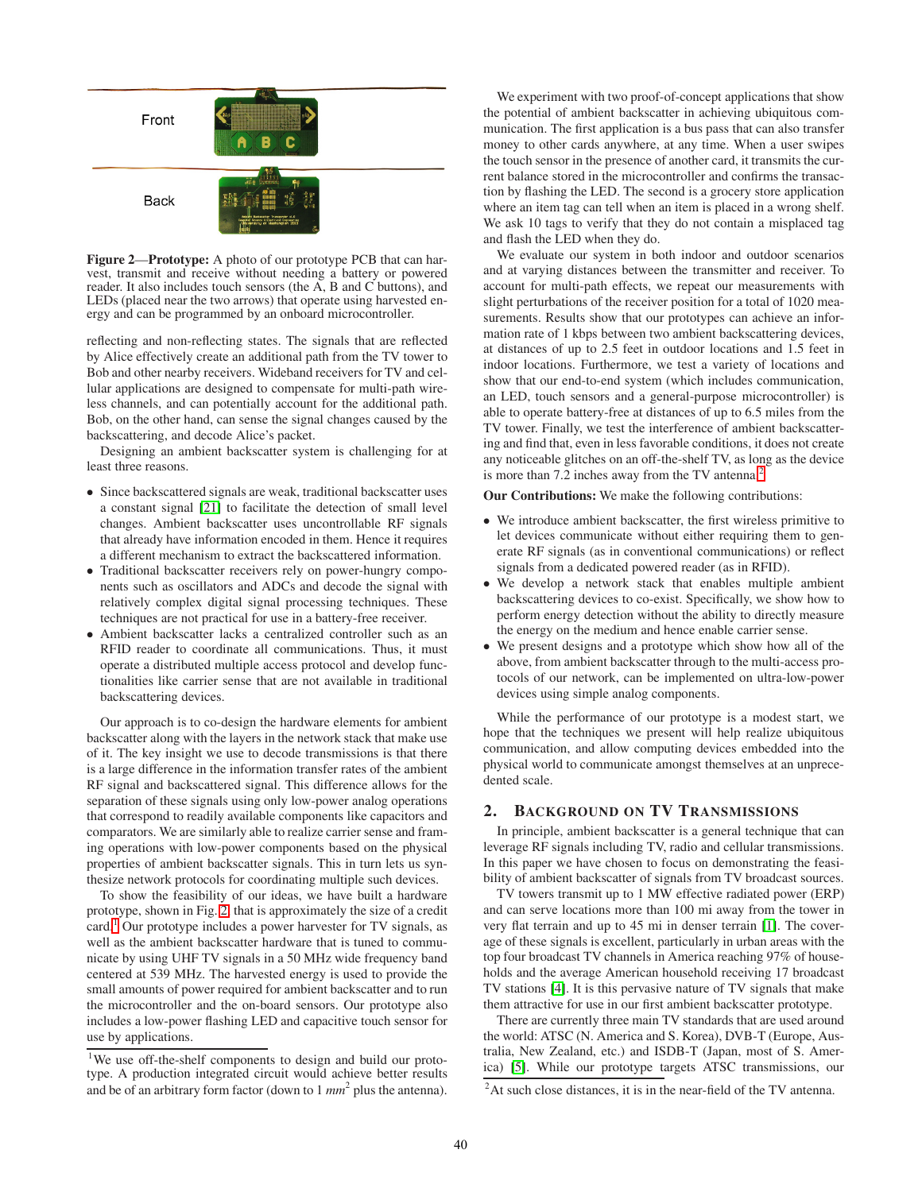

<span id="page-1-0"></span>**Figure 2**—**Prototype:** A photo of our prototype PCB that can harvest, transmit and receive without needing a battery or powered reader. It also includes touch sensors (the A, B and C buttons), and LEDs (placed near the two arrows) that operate using harvested energy and can be programmed by an onboard microcontroller.

reflecting and non-reflecting states. The signals that are reflected by Alice effectively create an additional path from the TV tower to Bob and other nearby receivers. Wideband receivers for TV and cellular applications are designed to compensate for multi-path wireless channels, and can potentially account for the additional path. Bob, on the other hand, can sense the signal changes caused by the backscattering, and decode Alice's packet.

Designing an ambient backscatter system is challenging for at least three reasons.

- Since backscattered signals are weak, traditional backscatter uses a constant signal [\[21\]](#page-11-7) to facilitate the detection of small level changes. Ambient backscatter uses uncontrollable RF signals that already have information encoded in them. Hence it requires a different mechanism to extract the backscattered information.
- Traditional backscatter receivers rely on power-hungry components such as oscillators and ADCs and decode the signal with relatively complex digital signal processing techniques. These techniques are not practical for use in a battery-free receiver.
- Ambient backscatter lacks a centralized controller such as an RFID reader to coordinate all communications. Thus, it must operate a distributed multiple access protocol and develop functionalities like carrier sense that are not available in traditional backscattering devices.

Our approach is to co-design the hardware elements for ambient backscatter along with the layers in the network stack that make use of it. The key insight we use to decode transmissions is that there is a large difference in the information transfer rates of the ambient RF signal and backscattered signal. This difference allows for the separation of these signals using only low-power analog operations that correspond to readily available components like capacitors and comparators. We are similarly able to realize carrier sense and framing operations with low-power components based on the physical properties of ambient backscatter signals. This in turn lets us synthesize network protocols for coordinating multiple such devices.

To show the feasibility of our ideas, we have built a hardware prototype, shown in Fig. [2,](#page-1-0) that is approximately the size of a credit card.[1](#page-1-1) Our prototype includes a power harvester for TV signals, as well as the ambient backscatter hardware that is tuned to communicate by using UHF TV signals in a 50 MHz wide frequency band centered at 539 MHz. The harvested energy is used to provide the small amounts of power required for ambient backscatter and to run the microcontroller and the on-board sensors. Our prototype also includes a low-power flashing LED and capacitive touch sensor for use by applications.

We experiment with two proof-of-concept applications that show the potential of ambient backscatter in achieving ubiquitous communication. The first application is a bus pass that can also transfer money to other cards anywhere, at any time. When a user swipes the touch sensor in the presence of another card, it transmits the current balance stored in the microcontroller and confirms the transaction by flashing the LED. The second is a grocery store application where an item tag can tell when an item is placed in a wrong shelf. We ask 10 tags to verify that they do not contain a misplaced tag and flash the LED when they do.

We evaluate our system in both indoor and outdoor scenarios and at varying distances between the transmitter and receiver. To account for multi-path effects, we repeat our measurements with slight perturbations of the receiver position for a total of 1020 measurements. Results show that our prototypes can achieve an information rate of 1 kbps between two ambient backscattering devices, at distances of up to 2.5 feet in outdoor locations and 1.5 feet in indoor locations. Furthermore, we test a variety of locations and show that our end-to-end system (which includes communication, an LED, touch sensors and a general-purpose microcontroller) is able to operate battery-free at distances of up to 6.5 miles from the TV tower. Finally, we test the interference of ambient backscattering and find that, even in less favorable conditions, it does not create any noticeable glitches on an off-the-shelf TV, as long as the device is more than 7.[2](#page-1-2) inches away from the TV antenna.<sup>2</sup>

**Our Contributions:** We make the following contributions:

- We introduce ambient backscatter, the first wireless primitive to let devices communicate without either requiring them to generate RF signals (as in conventional communications) or reflect signals from a dedicated powered reader (as in RFID).
- We develop a network stack that enables multiple ambient backscattering devices to co-exist. Specifically, we show how to perform energy detection without the ability to directly measure the energy on the medium and hence enable carrier sense.
- We present designs and a prototype which show how all of the above, from ambient backscatter through to the multi-access protocols of our network, can be implemented on ultra-low-power devices using simple analog components.

While the performance of our prototype is a modest start, we hope that the techniques we present will help realize ubiquitous communication, and allow computing devices embedded into the physical world to communicate amongst themselves at an unprecedented scale.

# **2. BACKGROUND ON TV TRANSMISSIONS**

In principle, ambient backscatter is a general technique that can leverage RF signals including TV, radio and cellular transmissions. In this paper we have chosen to focus on demonstrating the feasibility of ambient backscatter of signals from TV broadcast sources.

TV towers transmit up to 1 MW effective radiated power (ERP) and can serve locations more than 100 mi away from the tower in very flat terrain and up to 45 mi in denser terrain [\[1\]](#page-11-8). The coverage of these signals is excellent, particularly in urban areas with the top four broadcast TV channels in America reaching 97% of households and the average American household receiving 17 broadcast TV stations [\[4\]](#page-11-9). It is this pervasive nature of TV signals that make them attractive for use in our first ambient backscatter prototype.

There are currently three main TV standards that are used around the world: ATSC (N. America and S. Korea), DVB-T (Europe, Australia, New Zealand, etc.) and ISDB-T (Japan, most of S. America) [\[5\]](#page-11-10). While our prototype targets ATSC transmissions, our

<span id="page-1-1"></span><sup>&</sup>lt;sup>1</sup>We use off-the-shelf components to design and build our prototype. A production integrated circuit would achieve better results and be of an arbitrary form factor (down to  $1 \, mm^2$  plus the antenna).

<span id="page-1-2"></span> $2$ At such close distances, it is in the near-field of the TV antenna.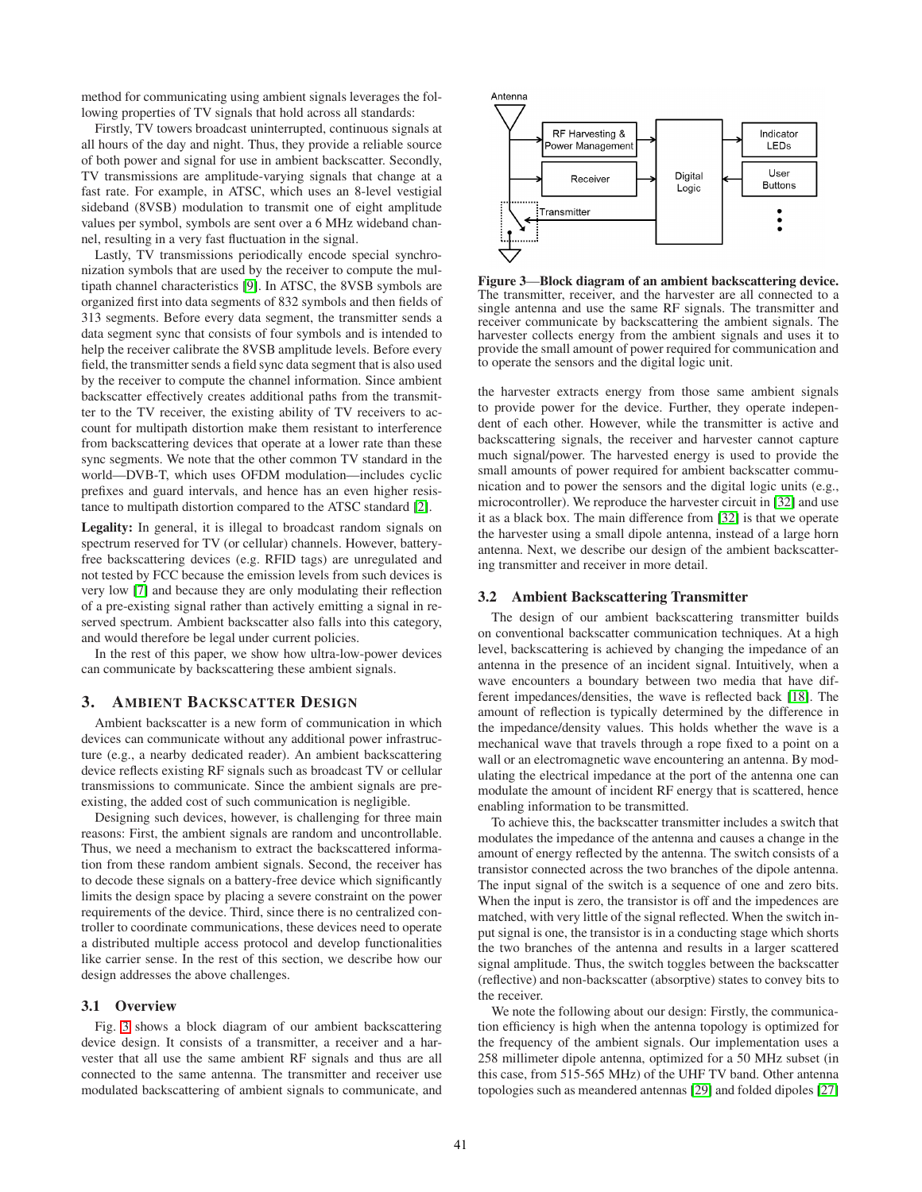method for communicating using ambient signals leverages the following properties of TV signals that hold across all standards:

Firstly, TV towers broadcast uninterrupted, continuous signals at all hours of the day and night. Thus, they provide a reliable source of both power and signal for use in ambient backscatter. Secondly, TV transmissions are amplitude-varying signals that change at a fast rate. For example, in ATSC, which uses an 8-level vestigial sideband (8VSB) modulation to transmit one of eight amplitude values per symbol, symbols are sent over a 6 MHz wideband channel, resulting in a very fast fluctuation in the signal.

Lastly, TV transmissions periodically encode special synchronization symbols that are used by the receiver to compute the multipath channel characteristics [\[9\]](#page-11-11). In ATSC, the 8VSB symbols are organized first into data segments of 832 symbols and then fields of 313 segments. Before every data segment, the transmitter sends a data segment sync that consists of four symbols and is intended to help the receiver calibrate the 8VSB amplitude levels. Before every field, the transmitter sends a field sync data segment that is also used by the receiver to compute the channel information. Since ambient backscatter effectively creates additional paths from the transmitter to the TV receiver, the existing ability of TV receivers to account for multipath distortion make them resistant to interference from backscattering devices that operate at a lower rate than these sync segments. We note that the other common TV standard in the world—DVB-T, which uses OFDM modulation—includes cyclic prefixes and guard intervals, and hence has an even higher resistance to multipath distortion compared to the ATSC standard [\[2\]](#page-11-12).

**Legality:** In general, it is illegal to broadcast random signals on spectrum reserved for TV (or cellular) channels. However, batteryfree backscattering devices (e.g. RFID tags) are unregulated and not tested by FCC because the emission levels from such devices is very low [\[7\]](#page-11-13) and because they are only modulating their reflection of a pre-existing signal rather than actively emitting a signal in reserved spectrum. Ambient backscatter also falls into this category, and would therefore be legal under current policies.

In the rest of this paper, we show how ultra-low-power devices can communicate by backscattering these ambient signals.

#### **3. AMBIENT BACKSCATTER DESIGN**

Ambient backscatter is a new form of communication in which devices can communicate without any additional power infrastructure (e.g., a nearby dedicated reader). An ambient backscattering device reflects existing RF signals such as broadcast TV or cellular transmissions to communicate. Since the ambient signals are preexisting, the added cost of such communication is negligible.

Designing such devices, however, is challenging for three main reasons: First, the ambient signals are random and uncontrollable. Thus, we need a mechanism to extract the backscattered information from these random ambient signals. Second, the receiver has to decode these signals on a battery-free device which significantly limits the design space by placing a severe constraint on the power requirements of the device. Third, since there is no centralized controller to coordinate communications, these devices need to operate a distributed multiple access protocol and develop functionalities like carrier sense. In the rest of this section, we describe how our design addresses the above challenges.

#### **3.1 Overview**

Fig. [3](#page-2-0) shows a block diagram of our ambient backscattering device design. It consists of a transmitter, a receiver and a harvester that all use the same ambient RF signals and thus are all connected to the same antenna. The transmitter and receiver use modulated backscattering of ambient signals to communicate, and



<span id="page-2-0"></span>**Figure 3**—**Block diagram of an ambient backscattering device.** The transmitter, receiver, and the harvester are all connected to a single antenna and use the same RF signals. The transmitter and receiver communicate by backscattering the ambient signals. The harvester collects energy from the ambient signals and uses it to provide the small amount of power required for communication and to operate the sensors and the digital logic unit.

the harvester extracts energy from those same ambient signals to provide power for the device. Further, they operate independent of each other. However, while the transmitter is active and backscattering signals, the receiver and harvester cannot capture much signal/power. The harvested energy is used to provide the small amounts of power required for ambient backscatter communication and to power the sensors and the digital logic units (e.g., microcontroller). We reproduce the harvester circuit in [\[32\]](#page-11-4) and use it as a black box. The main difference from [\[32\]](#page-11-4) is that we operate the harvester using a small dipole antenna, instead of a large horn antenna. Next, we describe our design of the ambient backscattering transmitter and receiver in more detail.

### **3.2 Ambient Backscattering Transmitter**

The design of our ambient backscattering transmitter builds on conventional backscatter communication techniques. At a high level, backscattering is achieved by changing the impedance of an antenna in the presence of an incident signal. Intuitively, when a wave encounters a boundary between two media that have different impedances/densities, the wave is reflected back [\[18\]](#page-11-14). The amount of reflection is typically determined by the difference in the impedance/density values. This holds whether the wave is a mechanical wave that travels through a rope fixed to a point on a wall or an electromagnetic wave encountering an antenna. By modulating the electrical impedance at the port of the antenna one can modulate the amount of incident RF energy that is scattered, hence enabling information to be transmitted.

To achieve this, the backscatter transmitter includes a switch that modulates the impedance of the antenna and causes a change in the amount of energy reflected by the antenna. The switch consists of a transistor connected across the two branches of the dipole antenna. The input signal of the switch is a sequence of one and zero bits. When the input is zero, the transistor is off and the impedences are matched, with very little of the signal reflected. When the switch input signal is one, the transistor is in a conducting stage which shorts the two branches of the antenna and results in a larger scattered signal amplitude. Thus, the switch toggles between the backscatter (reflective) and non-backscatter (absorptive) states to convey bits to the receiver.

We note the following about our design: Firstly, the communication efficiency is high when the antenna topology is optimized for the frequency of the ambient signals. Our implementation uses a 258 millimeter dipole antenna, optimized for a 50 MHz subset (in this case, from 515-565 MHz) of the UHF TV band. Other antenna topologies such as meandered antennas [\[29\]](#page-11-15) and folded dipoles [\[27\]](#page-11-16)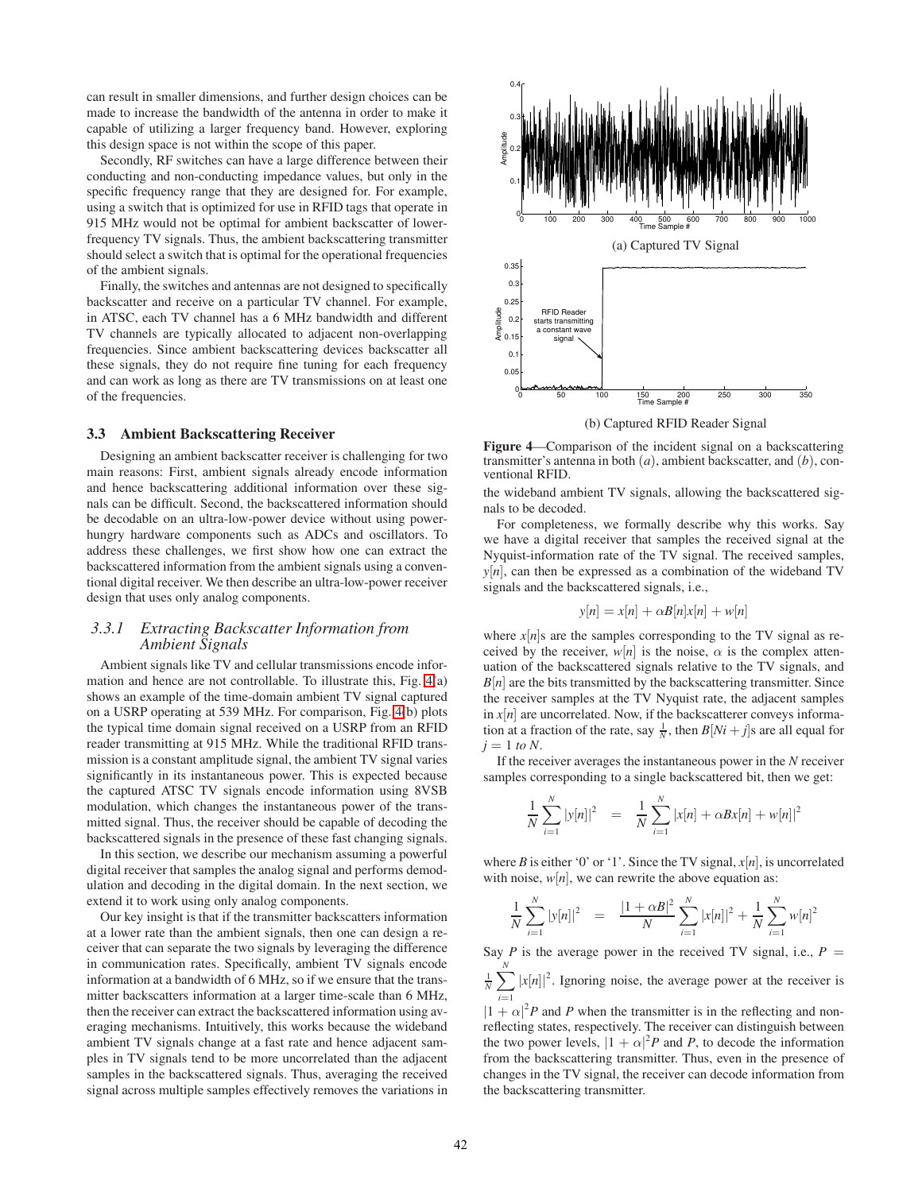can result in smaller dimensions, and further design choices can be made to increase the bandwidth of the antenna in order to make it capable of utilizing a larger frequency band. However, exploring this design space is not within the scope of this paper.

Secondly, RF switches can have a large difference between their conducting and non-conducting impedance values, but only in the specific frequency range that they are designed for. For example, using a switch that is optimized for use in RFID tags that operate in 915 MHz would not be optimal for ambient backscatter of lowerfrequency TV signals. Thus, the ambient backscattering transmitter should select a switch that is optimal for the operational frequencies of the ambient signals.

Finally, the switches and antennas are not designed to specifically backscatter and receive on a particular TV channel. For example, in ATSC, each TV channel has a 6 MHz bandwidth and different TV channels are typically allocated to adjacent non-overlapping frequencies. Since ambient backscattering devices backscatter all these signals, they do not require fine tuning for each frequency and can work as long as there are TV transmissions on at least one of the frequencies.

#### <span id="page-3-1"></span>**3.3 Ambient Backscattering Receiver**

Designing an ambient backscatter receiver is challenging for two main reasons: First, ambient signals already encode information and hence backscattering additional information over these signals can be difficult. Second, the backscattered information should be decodable on an ultra-low-power device without using powerhungry hardware components such as ADCs and oscillators. To address these challenges, we first show how one can extract the backscattered information from the ambient signals using a conventional digital receiver. We then describe an ultra-low-power receiver design that uses only analog components.

# *3.3.1 Extracting Backscatter Information from Ambient Signals*

Ambient signals like TV and cellular transmissions encode information and hence are not controllable. To illustrate this, Fig. [4\(](#page-3-0)a) shows an example of the time-domain ambient TV signal captured on a USRP operating at 539 MHz. For comparison, Fig. [4\(](#page-3-0)b) plots the typical time domain signal received on a USRP from an RFID reader transmitting at 915 MHz. While the traditional RFID transmission is a constant amplitude signal, the ambient TV signal varies significantly in its instantaneous power. This is expected because the captured ATSC TV signals encode information using 8VSB modulation, which changes the instantaneous power of the transmitted signal. Thus, the receiver should be capable of decoding the backscattered signals in the presence of these fast changing signals.

In this section, we describe our mechanism assuming a powerful digital receiver that samples the analog signal and performs demodulation and decoding in the digital domain. In the next section, we extend it to work using only analog components.

Our key insight is that if the transmitter backscatters information at a lower rate than the ambient signals, then one can design a receiver that can separate the two signals by leveraging the difference in communication rates. Specifically, ambient TV signals encode information at a bandwidth of 6 MHz, so if we ensure that the transmitter backscatters information at a larger time-scale than 6 MHz, then the receiver can extract the backscattered information using averaging mechanisms. Intuitively, this works because the wideband ambient TV signals change at a fast rate and hence adjacent samples in TV signals tend to be more uncorrelated than the adjacent samples in the backscattered signals. Thus, averaging the received signal across multiple samples effectively removes the variations in



<span id="page-3-0"></span>(b) Captured RFID Reader Signal

**Figure 4**—Comparison of the incident signal on a backscattering transmitter's antenna in both (*a*), ambient backscatter, and (*b*), conventional RFID.

the wideband ambient TV signals, allowing the backscattered signals to be decoded.

For completeness, we formally describe why this works. Say we have a digital receiver that samples the received signal at the Nyquist-information rate of the TV signal. The received samples,  $y[n]$ , can then be expressed as a combination of the wideband TV signals and the backscattered signals, i.e.,

$$
y[n] = x[n] + \alpha B[n]x[n] + w[n]
$$

where  $x[n]$ s are the samples corresponding to the TV signal as received by the receiver,  $w[n]$  is the noise,  $\alpha$  is the complex attenuation of the backscattered signals relative to the TV signals, and  $B[n]$  are the bits transmitted by the backscattering transmitter. Since the receiver samples at the TV Nyquist rate, the adjacent samples in  $x[n]$  are uncorrelated. Now, if the backscatterer conveys information at a fraction of the rate, say  $\frac{1}{N}$ , then  $B[Ni + j]$ s are all equal for  $j = 1$  *to N*.

If the receiver averages the instantaneous power in the *N* receiver samples corresponding to a single backscattered bit, then we get:

$$
\frac{1}{N}\sum_{i=1}^{N}|y[n]|^{2} = \frac{1}{N}\sum_{i=1}^{N}|x[n] + \alpha Bx[n] + w[n]|^{2}
$$

where *B* is either '0' or '1'. Since the TV signal,  $x[n]$ , is uncorrelated with noise,  $w[n]$ , we can rewrite the above equation as:

$$
\frac{1}{N} \sum_{i=1}^{N} |y[n]|^2 = \frac{|1+\alpha B|^2}{N} \sum_{i=1}^{N} |x[n]|^2 + \frac{1}{N} \sum_{i=1}^{N} w[n]^2
$$

Say *P* is the average power in the received TV signal, i.e.,  $P =$ 

 $\frac{1}{N}\sum_{i=1}^{N} |x[n]|^2$ . Ignoring noise, the average power at the receiver is *i*=1

 $|1 + \alpha|^2 P$  and P when the transmitter is in the reflecting and nonreflecting states, respectively. The receiver can distinguish between the two power levels,  $|1 + \alpha|^2 P$  and P, to decode the information from the backscattering transmitter. Thus, even in the presence of changes in the TV signal, the receiver can decode information from the backscattering transmitter.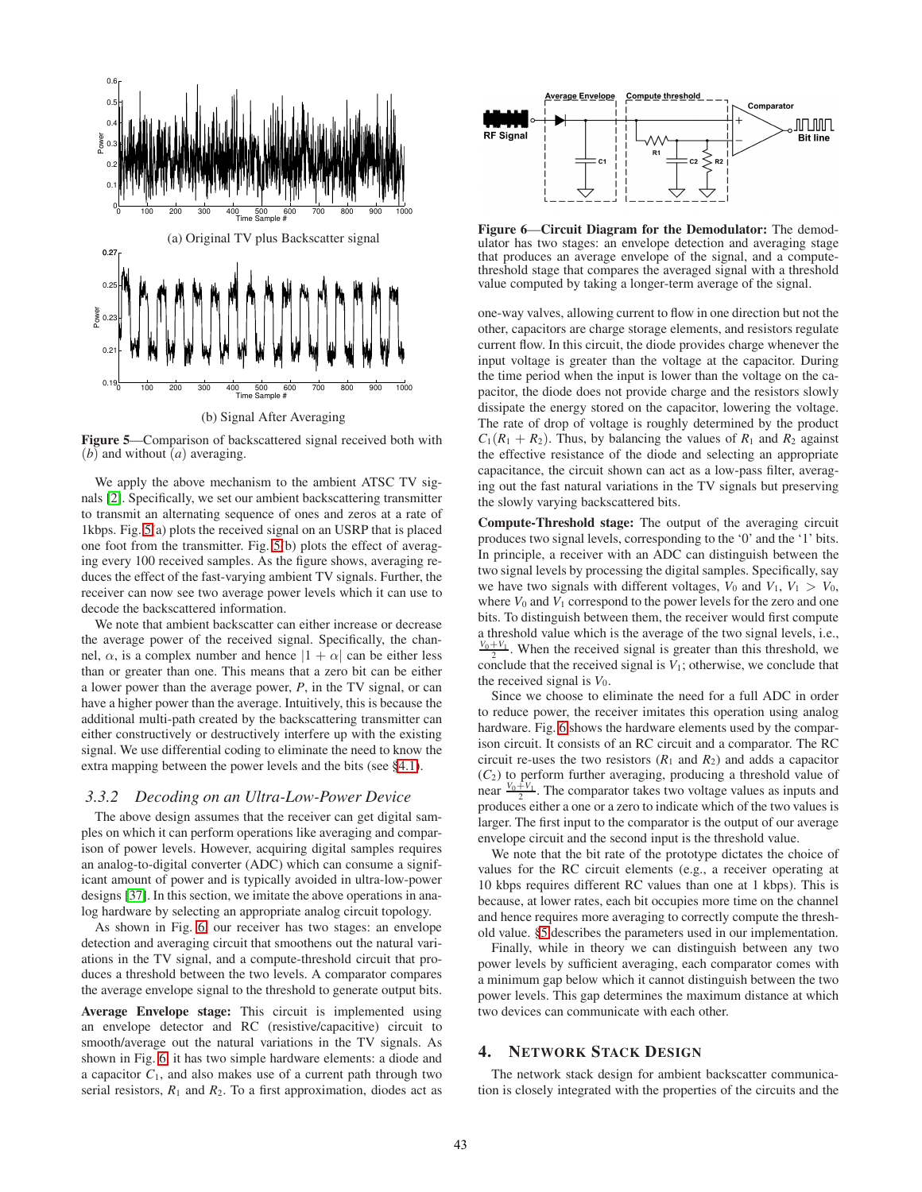

<span id="page-4-0"></span>**Figure 5**—Comparison of backscattered signal received both with  $(b)$  and without (*a*) averaging.

We apply the above mechanism to the ambient ATSC TV signals [\[2\]](#page-11-12). Specifically, we set our ambient backscattering transmitter to transmit an alternating sequence of ones and zeros at a rate of 1kbps. Fig. [5\(](#page-4-0)a) plots the received signal on an USRP that is placed one foot from the transmitter. Fig. [5\(](#page-4-0)b) plots the effect of averaging every 100 received samples. As the figure shows, averaging reduces the effect of the fast-varying ambient TV signals. Further, the receiver can now see two average power levels which it can use to decode the backscattered information.

We note that ambient backscatter can either increase or decrease the average power of the received signal. Specifically, the channel,  $\alpha$ , is a complex number and hence  $|1 + \alpha|$  can be either less than or greater than one. This means that a zero bit can be either a lower power than the average power, *P*, in the TV signal, or can have a higher power than the average. Intuitively, this is because the additional multi-path created by the backscattering transmitter can either constructively or destructively interfere up with the existing signal. We use differential coding to eliminate the need to know the extra mapping between the power levels and the bits (see [§4.1\)](#page-5-0).

#### *3.3.2 Decoding on an Ultra-Low-Power Device*

The above design assumes that the receiver can get digital samples on which it can perform operations like averaging and comparison of power levels. However, acquiring digital samples requires an analog-to-digital converter (ADC) which can consume a significant amount of power and is typically avoided in ultra-low-power designs [\[37\]](#page-11-17). In this section, we imitate the above operations in analog hardware by selecting an appropriate analog circuit topology.

As shown in Fig. [6,](#page-4-1) our receiver has two stages: an envelope detection and averaging circuit that smoothens out the natural variations in the TV signal, and a compute-threshold circuit that produces a threshold between the two levels. A comparator compares the average envelope signal to the threshold to generate output bits.

**Average Envelope stage:** This circuit is implemented using an envelope detector and RC (resistive/capacitive) circuit to smooth/average out the natural variations in the TV signals. As shown in Fig. [6,](#page-4-1) it has two simple hardware elements: a diode and a capacitor  $C_1$ , and also makes use of a current path through two serial resistors,  $R_1$  and  $R_2$ . To a first approximation, diodes act as



<span id="page-4-1"></span>**Figure 6**—**Circuit Diagram for the Demodulator:** The demodulator has two stages: an envelope detection and averaging stage that produces an average envelope of the signal, and a computethreshold stage that compares the averaged signal with a threshold value computed by taking a longer-term average of the signal.

one-way valves, allowing current to flow in one direction but not the other, capacitors are charge storage elements, and resistors regulate current flow. In this circuit, the diode provides charge whenever the input voltage is greater than the voltage at the capacitor. During the time period when the input is lower than the voltage on the capacitor, the diode does not provide charge and the resistors slowly dissipate the energy stored on the capacitor, lowering the voltage. The rate of drop of voltage is roughly determined by the product  $C_1(R_1 + R_2)$ . Thus, by balancing the values of  $R_1$  and  $R_2$  against the effective resistance of the diode and selecting an appropriate capacitance, the circuit shown can act as a low-pass filter, averaging out the fast natural variations in the TV signals but preserving the slowly varying backscattered bits.

**Compute-Threshold stage:** The output of the averaging circuit produces two signal levels, corresponding to the '0' and the '1' bits. In principle, a receiver with an ADC can distinguish between the two signal levels by processing the digital samples. Specifically, say we have two signals with different voltages,  $V_0$  and  $V_1$ ,  $V_1 > V_0$ , where  $V_0$  and  $V_1$  correspond to the power levels for the zero and one bits. To distinguish between them, the receiver would first compute a threshold value which is the average of the two signal levels, i.e.,  $\frac{V_0+V_1}{2}$ . When the received signal is greater than this threshold, we conclude that the received signal is *V*1; otherwise, we conclude that the received signal is  $V_0$ .

Since we choose to eliminate the need for a full ADC in order to reduce power, the receiver imitates this operation using analog hardware. Fig. [6](#page-4-1) shows the hardware elements used by the comparison circuit. It consists of an RC circuit and a comparator. The RC circuit re-uses the two resistors  $(R_1 \text{ and } R_2)$  and adds a capacitor  $(C_2)$  to perform further averaging, producing a threshold value of near  $\frac{V_0+V_1}{2}$ . The comparator takes two voltage values as inputs and produces either a one or a zero to indicate which of the two values is larger. The first input to the comparator is the output of our average envelope circuit and the second input is the threshold value.

We note that the bit rate of the prototype dictates the choice of values for the RC circuit elements (e.g., a receiver operating at 10 kbps requires different RC values than one at 1 kbps). This is because, at lower rates, each bit occupies more time on the channel and hence requires more averaging to correctly compute the threshold value. [§5](#page-6-0) describes the parameters used in our implementation.

Finally, while in theory we can distinguish between any two power levels by sufficient averaging, each comparator comes with a minimum gap below which it cannot distinguish between the two power levels. This gap determines the maximum distance at which two devices can communicate with each other.

# **4. NETWORK STACK DESIGN**

The network stack design for ambient backscatter communication is closely integrated with the properties of the circuits and the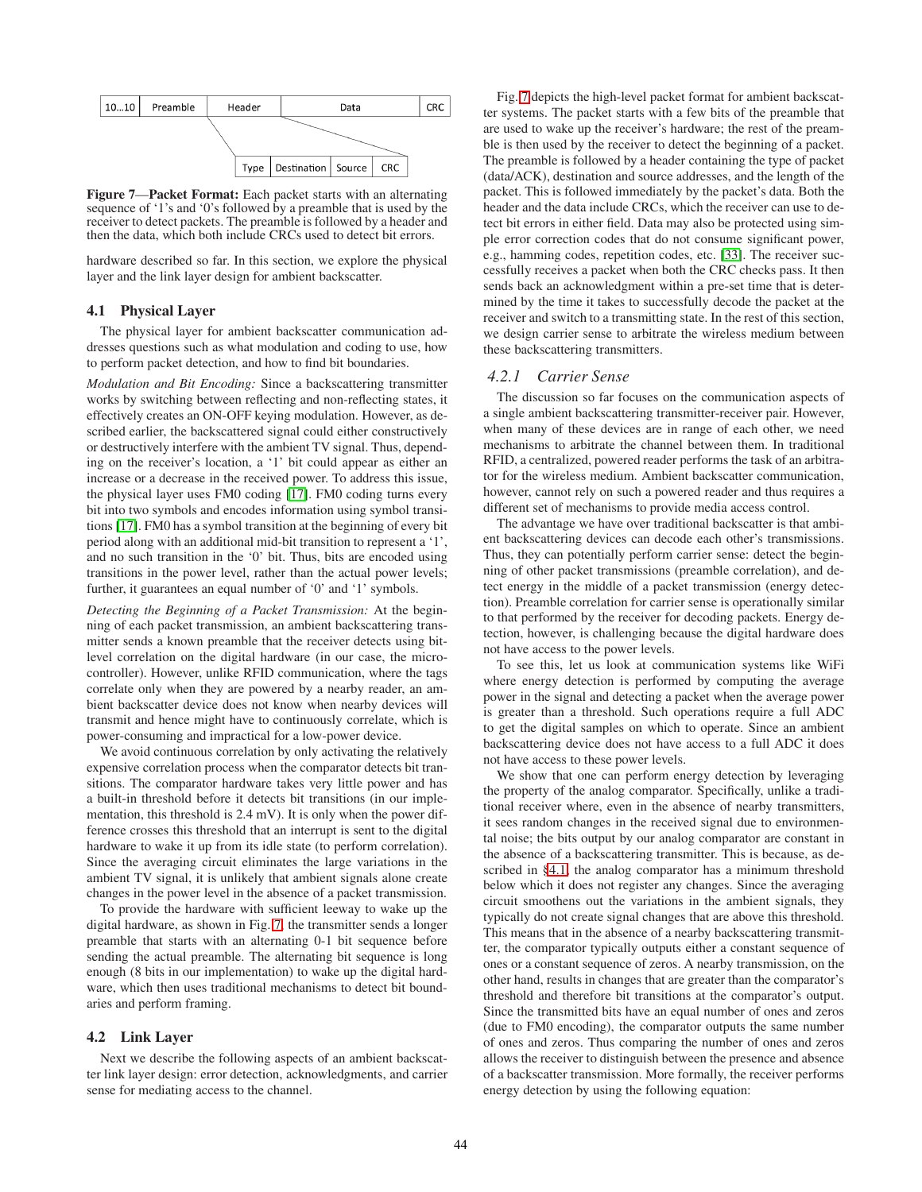

<span id="page-5-1"></span>**Figure 7**—**Packet Format:** Each packet starts with an alternating sequence of '1's and '0's followed by a preamble that is used by the receiver to detect packets. The preamble is followed by a header and then the data, which both include CRCs used to detect bit errors.

hardware described so far. In this section, we explore the physical layer and the link layer design for ambient backscatter.

## <span id="page-5-0"></span>**4.1 Physical Layer**

The physical layer for ambient backscatter communication addresses questions such as what modulation and coding to use, how to perform packet detection, and how to find bit boundaries.

*Modulation and Bit Encoding:* Since a backscattering transmitter works by switching between reflecting and non-reflecting states, it effectively creates an ON-OFF keying modulation. However, as described earlier, the backscattered signal could either constructively or destructively interfere with the ambient TV signal. Thus, depending on the receiver's location, a '1' bit could appear as either an increase or a decrease in the received power. To address this issue, the physical layer uses FM0 coding [\[17\]](#page-11-18). FM0 coding turns every bit into two symbols and encodes information using symbol transitions [\[17\]](#page-11-18). FM0 has a symbol transition at the beginning of every bit period along with an additional mid-bit transition to represent a '1', and no such transition in the '0' bit. Thus, bits are encoded using transitions in the power level, rather than the actual power levels; further, it guarantees an equal number of '0' and '1' symbols.

*Detecting the Beginning of a Packet Transmission:* At the beginning of each packet transmission, an ambient backscattering transmitter sends a known preamble that the receiver detects using bitlevel correlation on the digital hardware (in our case, the microcontroller). However, unlike RFID communication, where the tags correlate only when they are powered by a nearby reader, an ambient backscatter device does not know when nearby devices will transmit and hence might have to continuously correlate, which is power-consuming and impractical for a low-power device.

We avoid continuous correlation by only activating the relatively expensive correlation process when the comparator detects bit transitions. The comparator hardware takes very little power and has a built-in threshold before it detects bit transitions (in our implementation, this threshold is 2.4 mV). It is only when the power difference crosses this threshold that an interrupt is sent to the digital hardware to wake it up from its idle state (to perform correlation). Since the averaging circuit eliminates the large variations in the ambient TV signal, it is unlikely that ambient signals alone create changes in the power level in the absence of a packet transmission.

To provide the hardware with sufficient leeway to wake up the digital hardware, as shown in Fig. [7,](#page-5-1) the transmitter sends a longer preamble that starts with an alternating 0-1 bit sequence before sending the actual preamble. The alternating bit sequence is long enough (8 bits in our implementation) to wake up the digital hardware, which then uses traditional mechanisms to detect bit boundaries and perform framing.

#### **4.2 Link Layer**

Next we describe the following aspects of an ambient backscatter link layer design: error detection, acknowledgments, and carrier sense for mediating access to the channel.

Fig. [7](#page-5-1) depicts the high-level packet format for ambient backscatter systems. The packet starts with a few bits of the preamble that are used to wake up the receiver's hardware; the rest of the preamble is then used by the receiver to detect the beginning of a packet. The preamble is followed by a header containing the type of packet (data/ACK), destination and source addresses, and the length of the packet. This is followed immediately by the packet's data. Both the header and the data include CRCs, which the receiver can use to detect bit errors in either field. Data may also be protected using simple error correction codes that do not consume significant power, e.g., hamming codes, repetition codes, etc. [\[33\]](#page-11-19). The receiver successfully receives a packet when both the CRC checks pass. It then sends back an acknowledgment within a pre-set time that is determined by the time it takes to successfully decode the packet at the receiver and switch to a transmitting state. In the rest of this section, we design carrier sense to arbitrate the wireless medium between these backscattering transmitters.

## *4.2.1 Carrier Sense*

The discussion so far focuses on the communication aspects of a single ambient backscattering transmitter-receiver pair. However, when many of these devices are in range of each other, we need mechanisms to arbitrate the channel between them. In traditional RFID, a centralized, powered reader performs the task of an arbitrator for the wireless medium. Ambient backscatter communication, however, cannot rely on such a powered reader and thus requires a different set of mechanisms to provide media access control.

The advantage we have over traditional backscatter is that ambient backscattering devices can decode each other's transmissions. Thus, they can potentially perform carrier sense: detect the beginning of other packet transmissions (preamble correlation), and detect energy in the middle of a packet transmission (energy detection). Preamble correlation for carrier sense is operationally similar to that performed by the receiver for decoding packets. Energy detection, however, is challenging because the digital hardware does not have access to the power levels.

To see this, let us look at communication systems like WiFi where energy detection is performed by computing the average power in the signal and detecting a packet when the average power is greater than a threshold. Such operations require a full ADC to get the digital samples on which to operate. Since an ambient backscattering device does not have access to a full ADC it does not have access to these power levels.

We show that one can perform energy detection by leveraging the property of the analog comparator. Specifically, unlike a traditional receiver where, even in the absence of nearby transmitters, it sees random changes in the received signal due to environmental noise; the bits output by our analog comparator are constant in the absence of a backscattering transmitter. This is because, as described in [§4.1,](#page-5-0) the analog comparator has a minimum threshold below which it does not register any changes. Since the averaging circuit smoothens out the variations in the ambient signals, they typically do not create signal changes that are above this threshold. This means that in the absence of a nearby backscattering transmitter, the comparator typically outputs either a constant sequence of ones or a constant sequence of zeros. A nearby transmission, on the other hand, results in changes that are greater than the comparator's threshold and therefore bit transitions at the comparator's output. Since the transmitted bits have an equal number of ones and zeros (due to FM0 encoding), the comparator outputs the same number of ones and zeros. Thus comparing the number of ones and zeros allows the receiver to distinguish between the presence and absence of a backscatter transmission. More formally, the receiver performs energy detection by using the following equation: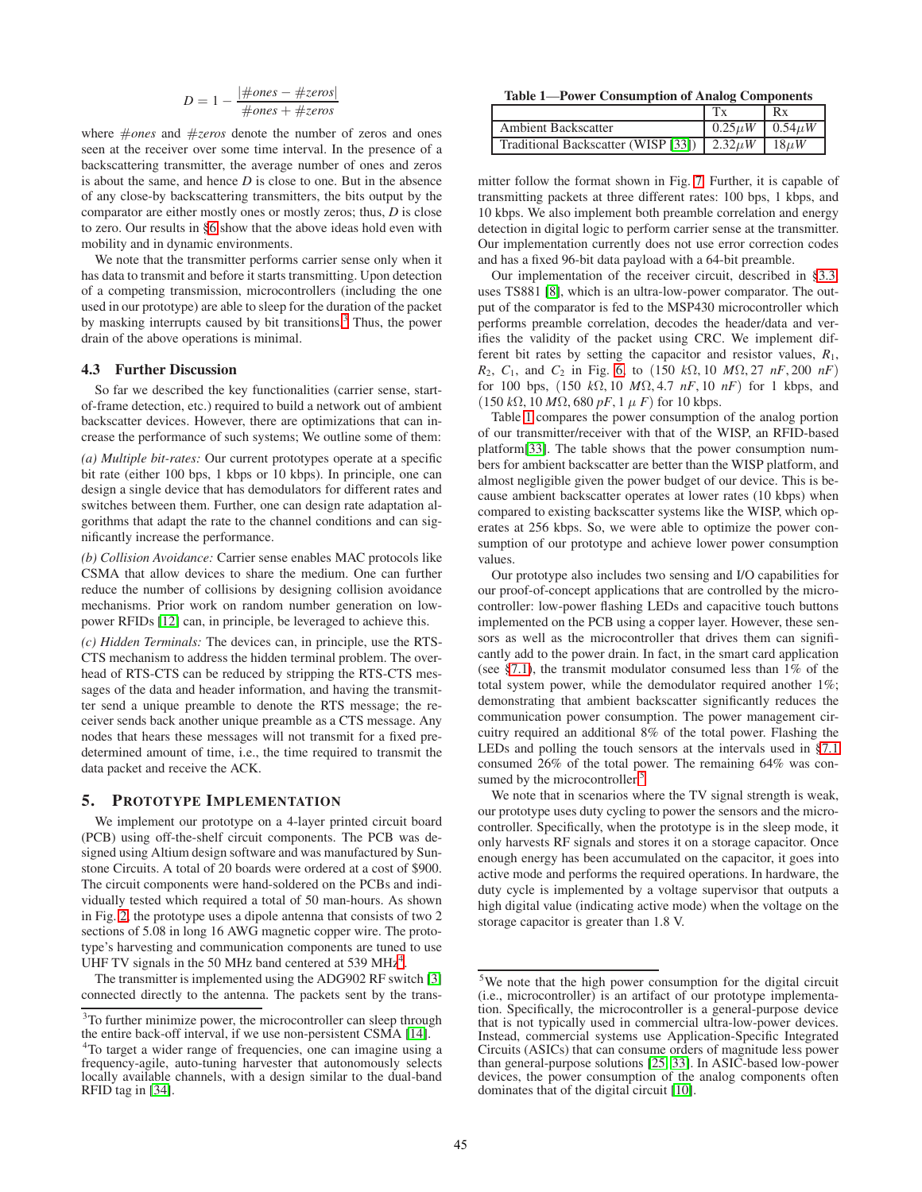$$
D = 1 - \frac{|\#ones - #zeros|}{\#ones + #zeros}
$$

where #*ones* and #*zeros* denote the number of zeros and ones seen at the receiver over some time interval. In the presence of a backscattering transmitter, the average number of ones and zeros is about the same, and hence *D* is close to one. But in the absence of any close-by backscattering transmitters, the bits output by the comparator are either mostly ones or mostly zeros; thus, *D* is close to zero. Our results in [§6](#page-7-0) show that the above ideas hold even with mobility and in dynamic environments.

We note that the transmitter performs carrier sense only when it has data to transmit and before it starts transmitting. Upon detection of a competing transmission, microcontrollers (including the one used in our prototype) are able to sleep for the duration of the packet by masking interrupts caused by bit transitions.<sup>[3](#page-6-1)</sup> Thus, the power drain of the above operations is minimal.

## **4.3 Further Discussion**

So far we described the key functionalities (carrier sense, startof-frame detection, etc.) required to build a network out of ambient backscatter devices. However, there are optimizations that can increase the performance of such systems; We outline some of them:

*(a) Multiple bit-rates:* Our current prototypes operate at a specific bit rate (either 100 bps, 1 kbps or 10 kbps). In principle, one can design a single device that has demodulators for different rates and switches between them. Further, one can design rate adaptation algorithms that adapt the rate to the channel conditions and can significantly increase the performance.

*(b) Collision Avoidance:* Carrier sense enables MAC protocols like CSMA that allow devices to share the medium. One can further reduce the number of collisions by designing collision avoidance mechanisms. Prior work on random number generation on lowpower RFIDs [\[12\]](#page-11-20) can, in principle, be leveraged to achieve this.

*(c) Hidden Terminals:* The devices can, in principle, use the RTS-CTS mechanism to address the hidden terminal problem. The overhead of RTS-CTS can be reduced by stripping the RTS-CTS messages of the data and header information, and having the transmitter send a unique preamble to denote the RTS message; the receiver sends back another unique preamble as a CTS message. Any nodes that hears these messages will not transmit for a fixed predetermined amount of time, i.e., the time required to transmit the data packet and receive the ACK.

#### <span id="page-6-0"></span>**5. PROTOTYPE IMPLEMENTATION**

We implement our prototype on a 4-layer printed circuit board (PCB) using off-the-shelf circuit components. The PCB was designed using Altium design software and was manufactured by Sunstone Circuits. A total of 20 boards were ordered at a cost of \$900. The circuit components were hand-soldered on the PCBs and individually tested which required a total of 50 man-hours. As shown in Fig. [2,](#page-1-0) the prototype uses a dipole antenna that consists of two 2 sections of 5.08 in long 16 AWG magnetic copper wire. The prototype's harvesting and communication components are tuned to use UHF TV signals in the 50 MHz band centered at 539 MHz<sup>[4](#page-6-2)</sup>.

The transmitter is implemented using the ADG902 RF switch [\[3\]](#page-11-21) connected directly to the antenna. The packets sent by the trans-

<span id="page-6-3"></span>**Table 1**—**Power Consumption of Analog Components**

|                                                                       |                           | Rx |
|-----------------------------------------------------------------------|---------------------------|----|
| Ambient Backscatter                                                   | $0.25\mu W$   $0.54\mu W$ |    |
| Traditional Backscatter (WISP [33]) $\vert 2.32 \mu W \vert 18 \mu W$ |                           |    |

mitter follow the format shown in Fig. [7.](#page-5-1) Further, it is capable of transmitting packets at three different rates: 100 bps, 1 kbps, and 10 kbps. We also implement both preamble correlation and energy detection in digital logic to perform carrier sense at the transmitter. Our implementation currently does not use error correction codes and has a fixed 96-bit data payload with a 64-bit preamble.

Our implementation of the receiver circuit, described in [§3.3,](#page-3-1) uses TS881 [\[8\]](#page-11-24), which is an ultra-low-power comparator. The output of the comparator is fed to the MSP430 microcontroller which performs preamble correlation, decodes the header/data and verifies the validity of the packet using CRC. We implement different bit rates by setting the capacitor and resistor values,  $R_1$ , *R*2, *C*1, and *C*<sup>2</sup> in Fig. [6,](#page-4-1) to (150 *k*Ω, 10 *M*Ω, 27 *nF*, 200 *nF*) for 100 bps,  $(150 \ k\Omega, 10 \ M\Omega, 4.7 \ nF, 10 \ nF)$  for 1 kbps, and (150 *k*Ω, 10 *M*Ω, 680 *pF*, 1 µ *F*) for 10 kbps.

Table [1](#page-6-3) compares the power consumption of the analog portion of our transmitter/receiver with that of the WISP, an RFID-based platform[\[33\]](#page-11-19). The table shows that the power consumption numbers for ambient backscatter are better than the WISP platform, and almost negligible given the power budget of our device. This is because ambient backscatter operates at lower rates (10 kbps) when compared to existing backscatter systems like the WISP, which operates at 256 kbps. So, we were able to optimize the power consumption of our prototype and achieve lower power consumption values.

Our prototype also includes two sensing and I/O capabilities for our proof-of-concept applications that are controlled by the microcontroller: low-power flashing LEDs and capacitive touch buttons implemented on the PCB using a copper layer. However, these sensors as well as the microcontroller that drives them can significantly add to the power drain. In fact, in the smart card application (see [§7.1\)](#page-9-0), the transmit modulator consumed less than 1% of the total system power, while the demodulator required another 1%; demonstrating that ambient backscatter significantly reduces the communication power consumption. The power management circuitry required an additional 8% of the total power. Flashing the LEDs and polling the touch sensors at the intervals used in [§7.1](#page-9-0) consumed 26% of the total power. The remaining 64% was con-sumed by the microcontroller.<sup>[5](#page-6-4)</sup>

We note that in scenarios where the TV signal strength is weak, our prototype uses duty cycling to power the sensors and the microcontroller. Specifically, when the prototype is in the sleep mode, it only harvests RF signals and stores it on a storage capacitor. Once enough energy has been accumulated on the capacitor, it goes into active mode and performs the required operations. In hardware, the duty cycle is implemented by a voltage supervisor that outputs a high digital value (indicating active mode) when the voltage on the storage capacitor is greater than 1.8 V.

<span id="page-6-1"></span><sup>&</sup>lt;sup>3</sup>To further minimize power, the microcontroller can sleep through the entire back-off interval, if we use non-persistent CSMA [\[14\]](#page-11-22).

<span id="page-6-2"></span><sup>&</sup>lt;sup>4</sup>To target a wider range of frequencies, one can imagine using a frequency-agile, auto-tuning harvester that autonomously selects locally available channels, with a design similar to the dual-band RFID tag in [\[34\]](#page-11-23).

<span id="page-6-4"></span><sup>&</sup>lt;sup>5</sup>We note that the high power consumption for the digital circuit (i.e., microcontroller) is an artifact of our prototype implementation. Specifically, the microcontroller is a general-purpose device that is not typically used in commercial ultra-low-power devices. Instead, commercial systems use Application-Specific Integrated Circuits (ASICs) that can consume orders of magnitude less power than general-purpose solutions [\[25,](#page-11-25) [33\]](#page-11-19). In ASIC-based low-power devices, the power consumption of the analog components often dominates that of the digital circuit [\[10\]](#page-11-26).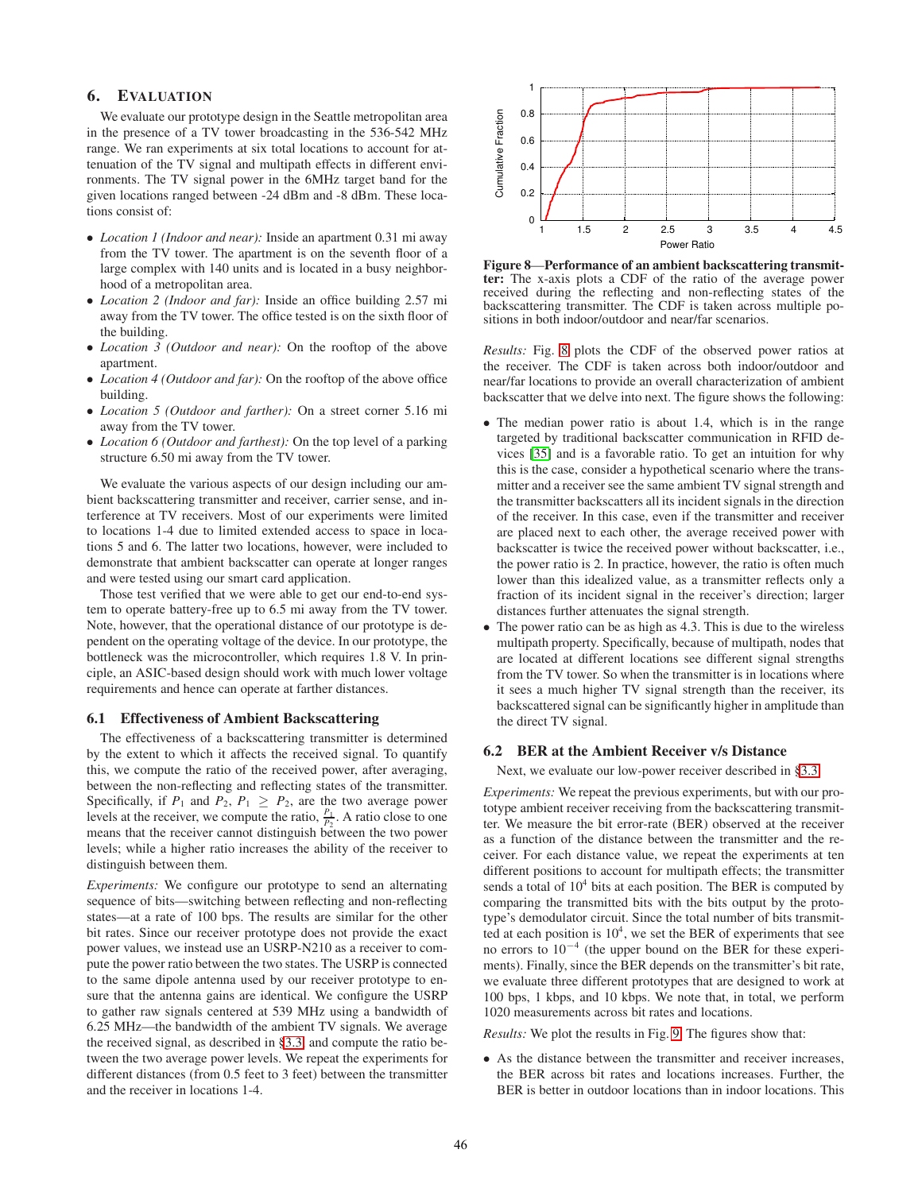# <span id="page-7-0"></span>**6. EVALUATION**

We evaluate our prototype design in the Seattle metropolitan area in the presence of a TV tower broadcasting in the 536-542 MHz range. We ran experiments at six total locations to account for attenuation of the TV signal and multipath effects in different environments. The TV signal power in the 6MHz target band for the given locations ranged between -24 dBm and -8 dBm. These locations consist of:

- *Location 1 (Indoor and near):* Inside an apartment 0.31 mi away from the TV tower. The apartment is on the seventh floor of a large complex with 140 units and is located in a busy neighborhood of a metropolitan area.
- *Location 2 (Indoor and far):* Inside an office building 2.57 mi away from the TV tower. The office tested is on the sixth floor of the building.
- *Location 3 (Outdoor and near):* On the rooftop of the above apartment.
- *Location 4 (Outdoor and far):* On the rooftop of the above office building.
- *Location 5 (Outdoor and farther):* On a street corner 5.16 mi away from the TV tower.
- *Location 6 (Outdoor and farthest):* On the top level of a parking structure 6.50 mi away from the TV tower.

We evaluate the various aspects of our design including our ambient backscattering transmitter and receiver, carrier sense, and interference at TV receivers. Most of our experiments were limited to locations 1-4 due to limited extended access to space in locations 5 and 6. The latter two locations, however, were included to demonstrate that ambient backscatter can operate at longer ranges and were tested using our smart card application.

Those test verified that we were able to get our end-to-end system to operate battery-free up to 6.5 mi away from the TV tower. Note, however, that the operational distance of our prototype is dependent on the operating voltage of the device. In our prototype, the bottleneck was the microcontroller, which requires 1.8 V. In principle, an ASIC-based design should work with much lower voltage requirements and hence can operate at farther distances.

# **6.1 Effectiveness of Ambient Backscattering**

The effectiveness of a backscattering transmitter is determined by the extent to which it affects the received signal. To quantify this, we compute the ratio of the received power, after averaging, between the non-reflecting and reflecting states of the transmitter. Specifically, if  $P_1$  and  $P_2$ ,  $P_1 \ge P_2$ , are the two average power levels at the receiver, we compute the ratio,  $\frac{p_1}{p_2}$ . A ratio close to one means that the receiver cannot distinguish between the two power levels; while a higher ratio increases the ability of the receiver to distinguish between them.

*Experiments:* We configure our prototype to send an alternating sequence of bits—switching between reflecting and non-reflecting states—at a rate of 100 bps. The results are similar for the other bit rates. Since our receiver prototype does not provide the exact power values, we instead use an USRP-N210 as a receiver to compute the power ratio between the two states. The USRP is connected to the same dipole antenna used by our receiver prototype to ensure that the antenna gains are identical. We configure the USRP to gather raw signals centered at 539 MHz using a bandwidth of 6.25 MHz—the bandwidth of the ambient TV signals. We average the received signal, as described in [§3.3,](#page-3-1) and compute the ratio between the two average power levels. We repeat the experiments for different distances (from 0.5 feet to 3 feet) between the transmitter and the receiver in locations 1-4.



<span id="page-7-1"></span>**Figure 8**—**Performance of an ambient backscattering transmitter:** The x-axis plots a CDF of the ratio of the average power received during the reflecting and non-reflecting states of the backscattering transmitter. The CDF is taken across multiple positions in both indoor/outdoor and near/far scenarios.

*Results:* Fig. [8](#page-7-1) plots the CDF of the observed power ratios at the receiver. The CDF is taken across both indoor/outdoor and near/far locations to provide an overall characterization of ambient backscatter that we delve into next. The figure shows the following:

- The median power ratio is about 1.4, which is in the range targeted by traditional backscatter communication in RFID devices [\[35\]](#page-11-27) and is a favorable ratio. To get an intuition for why this is the case, consider a hypothetical scenario where the transmitter and a receiver see the same ambient TV signal strength and the transmitter backscatters all its incident signals in the direction of the receiver. In this case, even if the transmitter and receiver are placed next to each other, the average received power with backscatter is twice the received power without backscatter, i.e., the power ratio is 2. In practice, however, the ratio is often much lower than this idealized value, as a transmitter reflects only a fraction of its incident signal in the receiver's direction; larger distances further attenuates the signal strength.
- The power ratio can be as high as 4.3. This is due to the wireless multipath property. Specifically, because of multipath, nodes that are located at different locations see different signal strengths from the TV tower. So when the transmitter is in locations where it sees a much higher TV signal strength than the receiver, its backscattered signal can be significantly higher in amplitude than the direct TV signal.

## **6.2 BER at the Ambient Receiver v/s Distance**

Next, we evaluate our low-power receiver described in [§3.3.](#page-3-1)

*Experiments:* We repeat the previous experiments, but with our prototype ambient receiver receiving from the backscattering transmitter. We measure the bit error-rate (BER) observed at the receiver as a function of the distance between the transmitter and the receiver. For each distance value, we repeat the experiments at ten different positions to account for multipath effects; the transmitter sends a total of  $10^4$  bits at each position. The BER is computed by comparing the transmitted bits with the bits output by the prototype's demodulator circuit. Since the total number of bits transmitted at each position is  $10<sup>4</sup>$ , we set the BER of experiments that see no errors to 10<sup>-4</sup> (the upper bound on the BER for these experiments). Finally, since the BER depends on the transmitter's bit rate, we evaluate three different prototypes that are designed to work at 100 bps, 1 kbps, and 10 kbps. We note that, in total, we perform 1020 measurements across bit rates and locations.

*Results:* We plot the results in Fig. [9.](#page-8-0) The figures show that:

• As the distance between the transmitter and receiver increases, the BER across bit rates and locations increases. Further, the BER is better in outdoor locations than in indoor locations. This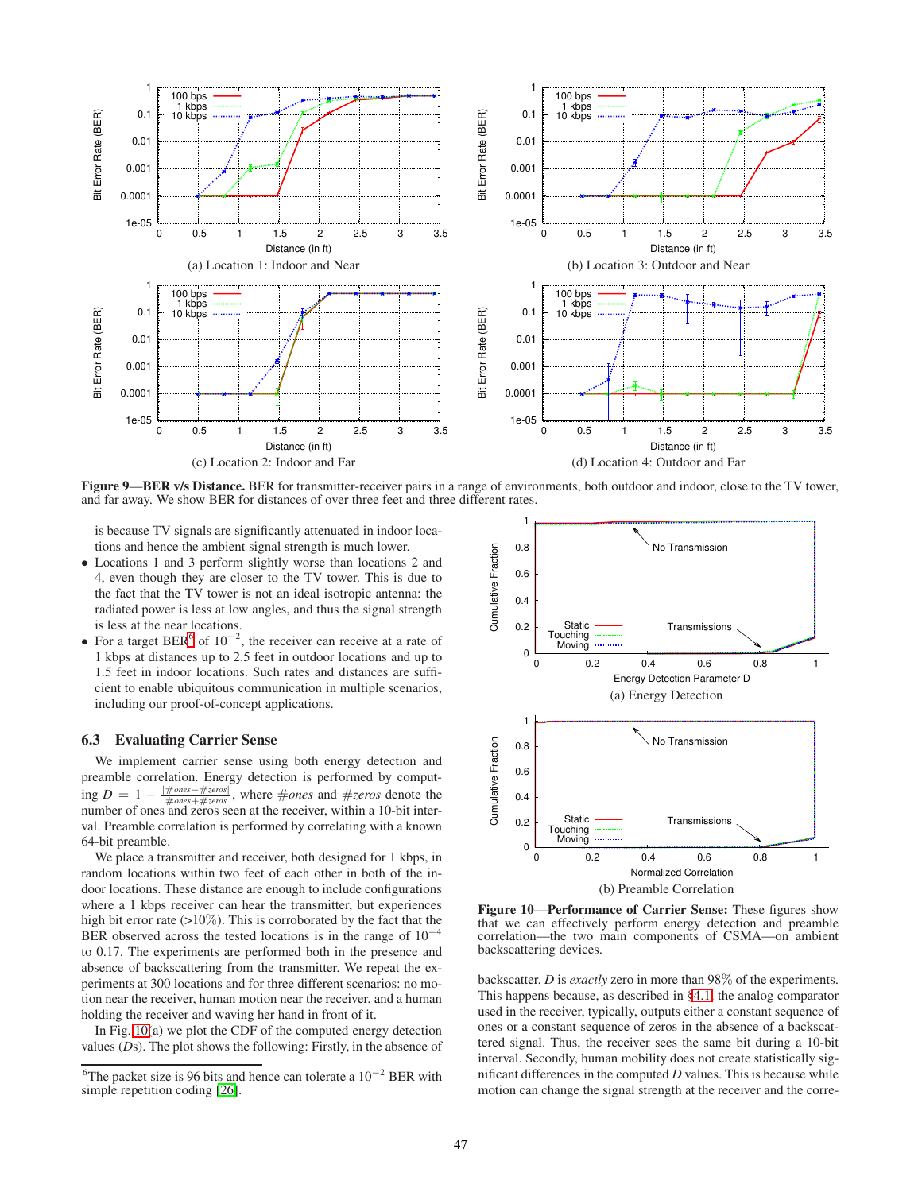

**Figure 9**—**BER v/s Distance.** BER for transmitter-receiver pairs in a range of environments, both outdoor and indoor, close to the TV tower, and far away. We show BER for distances of over three feet and three different rates.

<span id="page-8-0"></span>is because TV signals are significantly attenuated in indoor locations and hence the ambient signal strength is much lower.

- Locations 1 and 3 perform slightly worse than locations 2 and 4, even though they are closer to the TV tower. This is due to the fact that the TV tower is not an ideal isotropic antenna: the radiated power is less at low angles, and thus the signal strength is less at the near locations.
- For a target BER<sup>[6](#page-8-1)</sup> of  $10^{-2}$ , the receiver can receive at a rate of 1 kbps at distances up to 2.5 feet in outdoor locations and up to 1.5 feet in indoor locations. Such rates and distances are sufficient to enable ubiquitous communication in multiple scenarios, including our proof-of-concept applications.

## **6.3 Evaluating Carrier Sense**

We implement carrier sense using both energy detection and preamble correlation. Energy detection is performed by computing *D* = 1 − |#*ones*−#*zeros*| #*ones*+#*zeros* , where #*ones* and #*zeros* denote the number of ones and zeros seen at the receiver, within a 10-bit interval. Preamble correlation is performed by correlating with a known 64-bit preamble.

We place a transmitter and receiver, both designed for 1 kbps, in random locations within two feet of each other in both of the indoor locations. These distance are enough to include configurations where a 1 kbps receiver can hear the transmitter, but experiences high bit error rate  $(>10\%)$ . This is corroborated by the fact that the BER observed across the tested locations is in the range of 10<sup>−</sup><sup>4</sup> to 0.17. The experiments are performed both in the presence and absence of backscattering from the transmitter. We repeat the experiments at 300 locations and for three different scenarios: no motion near the receiver, human motion near the receiver, and a human holding the receiver and waving her hand in front of it.

In Fig. [10\(](#page-8-2)a) we plot the CDF of the computed energy detection values (*D*s). The plot shows the following: Firstly, in the absence of



<span id="page-8-2"></span>**Figure 10**—**Performance of Carrier Sense:** These figures show that we can effectively perform energy detection and preamble correlation—the two main components of CSMA—on ambient backscattering devices.

backscatter, *D* is *exactly* zero in more than 98% of the experiments. This happens because, as described in [§4.1,](#page-5-0) the analog comparator used in the receiver, typically, outputs either a constant sequence of ones or a constant sequence of zeros in the absence of a backscattered signal. Thus, the receiver sees the same bit during a 10-bit interval. Secondly, human mobility does not create statistically significant differences in the computed *D* values. This is because while motion can change the signal strength at the receiver and the corre-

<span id="page-8-1"></span><sup>&</sup>lt;sup>6</sup>The packet size is 96 bits and hence can tolerate a  $10^{-2}$  BER with simple repetition coding [\[26\]](#page-11-28).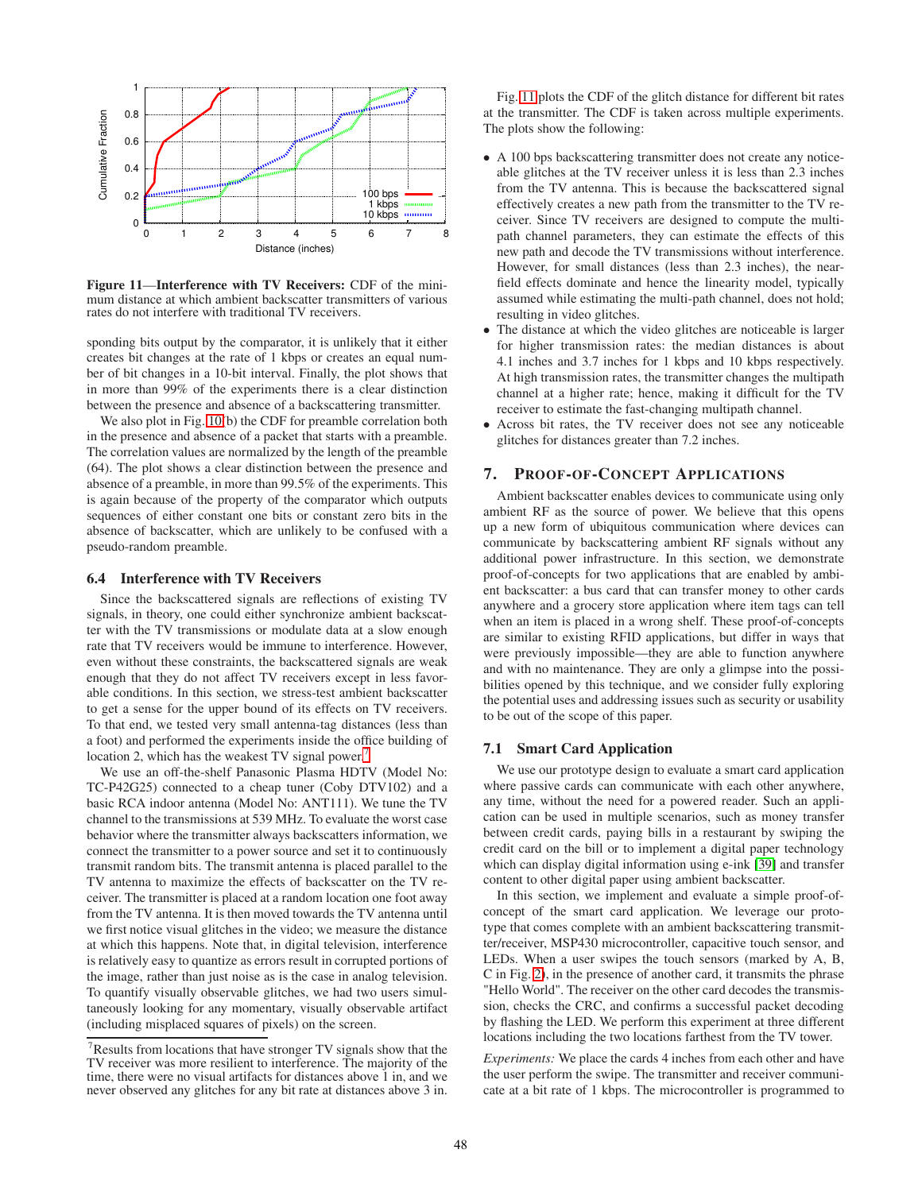

<span id="page-9-2"></span>**Figure 11**—**Interference with TV Receivers:** CDF of the minimum distance at which ambient backscatter transmitters of various rates do not interfere with traditional TV receivers.

sponding bits output by the comparator, it is unlikely that it either creates bit changes at the rate of 1 kbps or creates an equal number of bit changes in a 10-bit interval. Finally, the plot shows that in more than 99% of the experiments there is a clear distinction between the presence and absence of a backscattering transmitter.

We also plot in Fig. [10\(](#page-8-2)b) the CDF for preamble correlation both in the presence and absence of a packet that starts with a preamble. The correlation values are normalized by the length of the preamble (64). The plot shows a clear distinction between the presence and absence of a preamble, in more than 99.5% of the experiments. This is again because of the property of the comparator which outputs sequences of either constant one bits or constant zero bits in the absence of backscatter, which are unlikely to be confused with a pseudo-random preamble.

#### **6.4 Interference with TV Receivers**

Since the backscattered signals are reflections of existing TV signals, in theory, one could either synchronize ambient backscatter with the TV transmissions or modulate data at a slow enough rate that TV receivers would be immune to interference. However, even without these constraints, the backscattered signals are weak enough that they do not affect TV receivers except in less favorable conditions. In this section, we stress-test ambient backscatter to get a sense for the upper bound of its effects on TV receivers. To that end, we tested very small antenna-tag distances (less than a foot) and performed the experiments inside the office building of location 2, which has the weakest TV signal power.<sup>[7](#page-9-1)</sup>

We use an off-the-shelf Panasonic Plasma HDTV (Model No: TC-P42G25) connected to a cheap tuner (Coby DTV102) and a basic RCA indoor antenna (Model No: ANT111). We tune the TV channel to the transmissions at 539 MHz. To evaluate the worst case behavior where the transmitter always backscatters information, we connect the transmitter to a power source and set it to continuously transmit random bits. The transmit antenna is placed parallel to the TV antenna to maximize the effects of backscatter on the TV receiver. The transmitter is placed at a random location one foot away from the TV antenna. It is then moved towards the TV antenna until we first notice visual glitches in the video; we measure the distance at which this happens. Note that, in digital television, interference is relatively easy to quantize as errors result in corrupted portions of the image, rather than just noise as is the case in analog television. To quantify visually observable glitches, we had two users simultaneously looking for any momentary, visually observable artifact (including misplaced squares of pixels) on the screen.

Fig. [11](#page-9-2) plots the CDF of the glitch distance for different bit rates at the transmitter. The CDF is taken across multiple experiments. The plots show the following:

- A 100 bps backscattering transmitter does not create any noticeable glitches at the TV receiver unless it is less than 2.3 inches from the TV antenna. This is because the backscattered signal effectively creates a new path from the transmitter to the TV receiver. Since TV receivers are designed to compute the multipath channel parameters, they can estimate the effects of this new path and decode the TV transmissions without interference. However, for small distances (less than 2.3 inches), the nearfield effects dominate and hence the linearity model, typically assumed while estimating the multi-path channel, does not hold; resulting in video glitches.
- The distance at which the video glitches are noticeable is larger for higher transmission rates: the median distances is about 4.1 inches and 3.7 inches for 1 kbps and 10 kbps respectively. At high transmission rates, the transmitter changes the multipath channel at a higher rate; hence, making it difficult for the TV receiver to estimate the fast-changing multipath channel.
- Across bit rates, the TV receiver does not see any noticeable glitches for distances greater than 7.2 inches.

#### **7. PROOF-OF-CONCEPT APPLICATIONS**

Ambient backscatter enables devices to communicate using only ambient RF as the source of power. We believe that this opens up a new form of ubiquitous communication where devices can communicate by backscattering ambient RF signals without any additional power infrastructure. In this section, we demonstrate proof-of-concepts for two applications that are enabled by ambient backscatter: a bus card that can transfer money to other cards anywhere and a grocery store application where item tags can tell when an item is placed in a wrong shelf. These proof-of-concepts are similar to existing RFID applications, but differ in ways that were previously impossible—they are able to function anywhere and with no maintenance. They are only a glimpse into the possibilities opened by this technique, and we consider fully exploring the potential uses and addressing issues such as security or usability to be out of the scope of this paper.

#### <span id="page-9-0"></span>**7.1 Smart Card Application**

We use our prototype design to evaluate a smart card application where passive cards can communicate with each other anywhere, any time, without the need for a powered reader. Such an application can be used in multiple scenarios, such as money transfer between credit cards, paying bills in a restaurant by swiping the credit card on the bill or to implement a digital paper technology which can display digital information using e-ink [\[39\]](#page-11-29) and transfer content to other digital paper using ambient backscatter.

In this section, we implement and evaluate a simple proof-ofconcept of the smart card application. We leverage our prototype that comes complete with an ambient backscattering transmitter/receiver, MSP430 microcontroller, capacitive touch sensor, and LEDs. When a user swipes the touch sensors (marked by A, B, C in Fig. [2\)](#page-1-0), in the presence of another card, it transmits the phrase "Hello World". The receiver on the other card decodes the transmission, checks the CRC, and confirms a successful packet decoding by flashing the LED. We perform this experiment at three different locations including the two locations farthest from the TV tower.

*Experiments:* We place the cards 4 inches from each other and have the user perform the swipe. The transmitter and receiver communicate at a bit rate of 1 kbps. The microcontroller is programmed to

<span id="page-9-1"></span> $7$ Results from locations that have stronger TV signals show that the TV receiver was more resilient to interference. The majority of the time, there were no visual artifacts for distances above 1 in, and we never observed any glitches for any bit rate at distances above 3 in.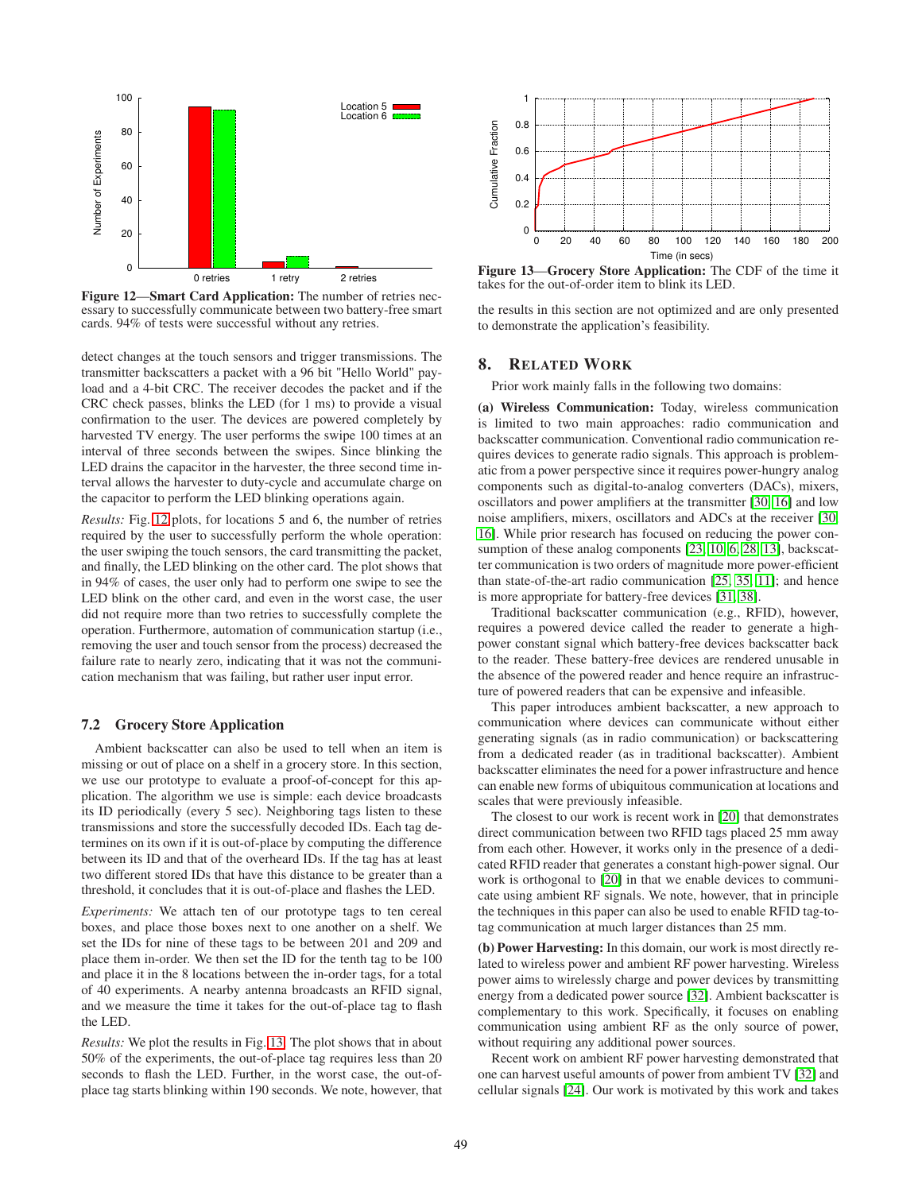

<span id="page-10-0"></span>**Figure 12**—**Smart Card Application:** The number of retries necessary to successfully communicate between two battery-free smart cards. 94% of tests were successful without any retries.

detect changes at the touch sensors and trigger transmissions. The transmitter backscatters a packet with a 96 bit "Hello World" payload and a 4-bit CRC. The receiver decodes the packet and if the CRC check passes, blinks the LED (for 1 ms) to provide a visual confirmation to the user. The devices are powered completely by harvested TV energy. The user performs the swipe 100 times at an interval of three seconds between the swipes. Since blinking the LED drains the capacitor in the harvester, the three second time interval allows the harvester to duty-cycle and accumulate charge on the capacitor to perform the LED blinking operations again.

*Results:* Fig. [12](#page-10-0) plots, for locations 5 and 6, the number of retries required by the user to successfully perform the whole operation: the user swiping the touch sensors, the card transmitting the packet, and finally, the LED blinking on the other card. The plot shows that in 94% of cases, the user only had to perform one swipe to see the LED blink on the other card, and even in the worst case, the user did not require more than two retries to successfully complete the operation. Furthermore, automation of communication startup (i.e., removing the user and touch sensor from the process) decreased the failure rate to nearly zero, indicating that it was not the communication mechanism that was failing, but rather user input error.

#### **7.2 Grocery Store Application**

Ambient backscatter can also be used to tell when an item is missing or out of place on a shelf in a grocery store. In this section, we use our prototype to evaluate a proof-of-concept for this application. The algorithm we use is simple: each device broadcasts its ID periodically (every 5 sec). Neighboring tags listen to these transmissions and store the successfully decoded IDs. Each tag determines on its own if it is out-of-place by computing the difference between its ID and that of the overheard IDs. If the tag has at least two different stored IDs that have this distance to be greater than a threshold, it concludes that it is out-of-place and flashes the LED.

*Experiments:* We attach ten of our prototype tags to ten cereal boxes, and place those boxes next to one another on a shelf. We set the IDs for nine of these tags to be between 201 and 209 and place them in-order. We then set the ID for the tenth tag to be 100 and place it in the 8 locations between the in-order tags, for a total of 40 experiments. A nearby antenna broadcasts an RFID signal, and we measure the time it takes for the out-of-place tag to flash the LED.

*Results:* We plot the results in Fig. [13.](#page-10-1) The plot shows that in about 50% of the experiments, the out-of-place tag requires less than 20 seconds to flash the LED. Further, in the worst case, the out-ofplace tag starts blinking within 190 seconds. We note, however, that



<span id="page-10-1"></span>**Figure 13**—**Grocery Store Application:** The CDF of the time it takes for the out-of-order item to blink its LED.

the results in this section are not optimized and are only presented to demonstrate the application's feasibility.

## **8. RELATED WORK**

Prior work mainly falls in the following two domains:

**(a) Wireless Communication:** Today, wireless communication is limited to two main approaches: radio communication and backscatter communication. Conventional radio communication requires devices to generate radio signals. This approach is problematic from a power perspective since it requires power-hungry analog components such as digital-to-analog converters (DACs), mixers, oscillators and power amplifiers at the transmitter [\[30,](#page-11-30) [16\]](#page-11-31) and low noise amplifiers, mixers, oscillators and ADCs at the receiver [\[30,](#page-11-30) [16\]](#page-11-31). While prior research has focused on reducing the power consumption of these analog components [\[23,](#page-11-32) [10,](#page-11-26) [6,](#page-11-33) [28,](#page-11-34) [13\]](#page-11-35), backscatter communication is two orders of magnitude more power-efficient than state-of-the-art radio communication [\[25,](#page-11-25) [35,](#page-11-27) [11\]](#page-11-6); and hence is more appropriate for battery-free devices [\[31,](#page-11-36) [38\]](#page-11-37).

Traditional backscatter communication (e.g., RFID), however, requires a powered device called the reader to generate a highpower constant signal which battery-free devices backscatter back to the reader. These battery-free devices are rendered unusable in the absence of the powered reader and hence require an infrastructure of powered readers that can be expensive and infeasible.

This paper introduces ambient backscatter, a new approach to communication where devices can communicate without either generating signals (as in radio communication) or backscattering from a dedicated reader (as in traditional backscatter). Ambient backscatter eliminates the need for a power infrastructure and hence can enable new forms of ubiquitous communication at locations and scales that were previously infeasible.

The closest to our work is recent work in [\[20\]](#page-11-38) that demonstrates direct communication between two RFID tags placed 25 mm away from each other. However, it works only in the presence of a dedicated RFID reader that generates a constant high-power signal. Our work is orthogonal to [\[20\]](#page-11-38) in that we enable devices to communicate using ambient RF signals. We note, however, that in principle the techniques in this paper can also be used to enable RFID tag-totag communication at much larger distances than 25 mm.

**(b) Power Harvesting:** In this domain, our work is most directly related to wireless power and ambient RF power harvesting. Wireless power aims to wirelessly charge and power devices by transmitting energy from a dedicated power source [\[32\]](#page-11-4). Ambient backscatter is complementary to this work. Specifically, it focuses on enabling communication using ambient RF as the only source of power, without requiring any additional power sources.

Recent work on ambient RF power harvesting demonstrated that one can harvest useful amounts of power from ambient TV [\[32\]](#page-11-4) and cellular signals [\[24\]](#page-11-5). Our work is motivated by this work and takes